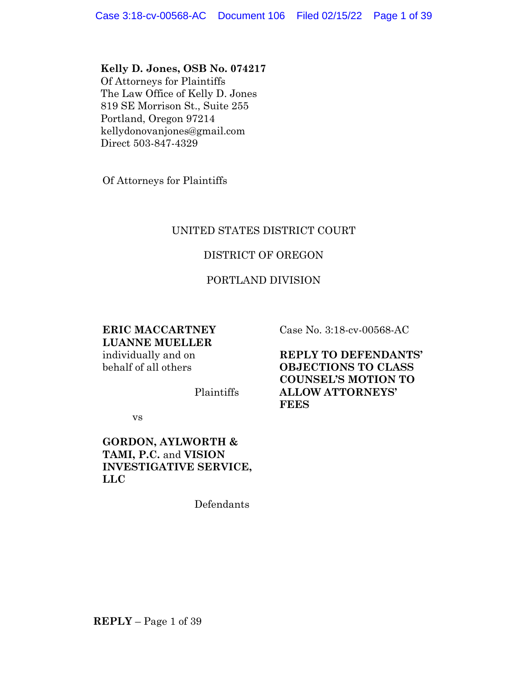### **Kelly D. Jones, OSB No. 074217**

Of Attorneys for Plaintiffs The Law Office of Kelly D. Jones 819 SE Morrison St., Suite 255 Portland, Oregon 97214 kellydonovanjones@gmail.com Direct 503-847-4329

Of Attorneys for Plaintiffs

# UNITED STATES DISTRICT COURT

## DISTRICT OF OREGON

### PORTLAND DIVISION

### **ERIC MACCARTNEY LUANNE MUELLER** individually and on behalf of all others

Plaintiffs

vs

## **GORDON, AYLWORTH & TAMI, P.C.** and **VISION INVESTIGATIVE SERVICE, LLC**

Defendants

Case No. 3:18-cv-00568-AC

**REPLY TO DEFENDANTS' OBJECTIONS TO CLASS COUNSEL'S MOTION TO ALLOW ATTORNEYS' FEES**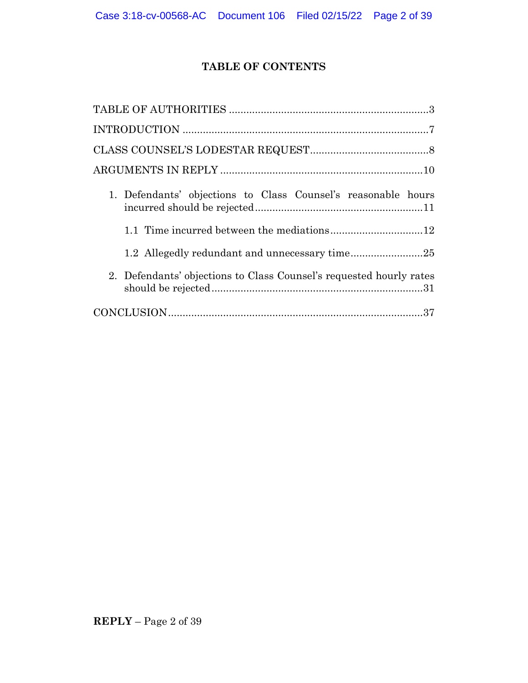# **TABLE OF CONTENTS**

| 1. Defendants' objections to Class Counsel's reasonable hours       |
|---------------------------------------------------------------------|
| 1.1 Time incurred between the mediations12                          |
|                                                                     |
| 2. Defendants' objections to Class Counsel's requested hourly rates |
|                                                                     |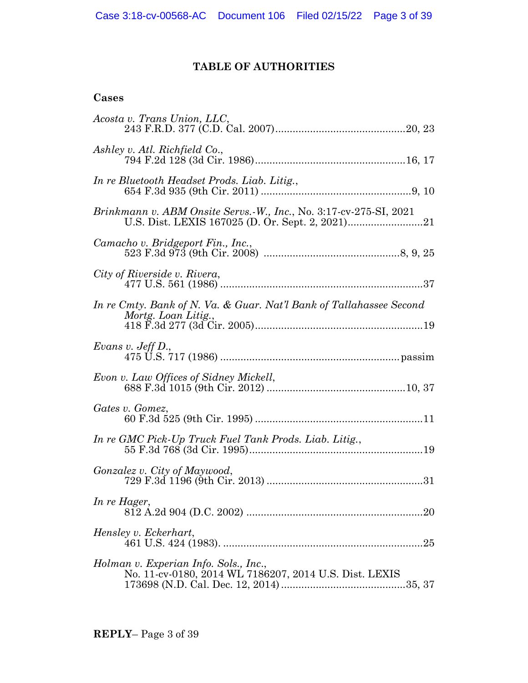# **TABLE OF AUTHORITIES**

# **Cases**

| Acosta v. Trans Union, LLC,                                                                     |
|-------------------------------------------------------------------------------------------------|
| Ashley v. Atl. Richfield Co.,                                                                   |
| In re Bluetooth Headset Prods. Liab. Litig.,                                                    |
| Brinkmann v. ABM Onsite Servs.-W., Inc., No. 3:17-cv-275-SI, 2021                               |
| Camacho v. Bridgeport Fin., Inc.,                                                               |
| City of Riverside v. Rivera,                                                                    |
| In re Cmty. Bank of N. Va. & Guar. Nat'l Bank of Tallahassee Second<br>Mortg. Loan Litig.,      |
| Evans v. Jeff $D_n$ ,                                                                           |
| Evon v. Law Offices of Sidney Mickell,                                                          |
| Gates v. Gomez,                                                                                 |
| In re GMC Pick-Up Truck Fuel Tank Prods. Liab. Litig.,                                          |
| Gonzalez v. City of Maywood,                                                                    |
| In re Hager,                                                                                    |
| Hensley v. Eckerhart,                                                                           |
| Holman v. Experian Info. Sols., Inc.,<br>No. 11-cv-0180, 2014 WL 7186207, 2014 U.S. Dist. LEXIS |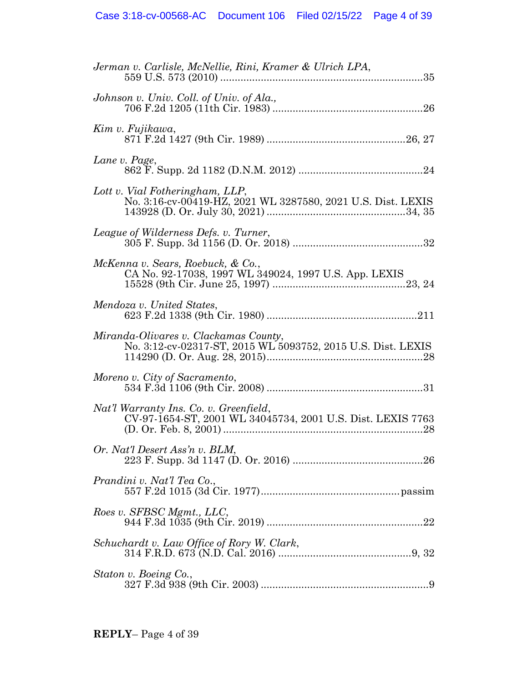| Jerman v. Carlisle, McNellie, Rini, Kramer & Ulrich LPA,                                              |
|-------------------------------------------------------------------------------------------------------|
| Johnson v. Univ. Coll. of Univ. of Ala.,                                                              |
| Kim v. Fujikawa,                                                                                      |
| Lane v. Page,                                                                                         |
| Lott v. Vial Fotheringham, LLP,<br>No. 3:16-cv-00419-HZ, 2021 WL 3287580, 2021 U.S. Dist. LEXIS       |
| League of Wilderness Defs. v. Turner,                                                                 |
| McKenna v. Sears, Roebuck, & Co.,<br>CA No. 92-17038, 1997 WL 349024, 1997 U.S. App. LEXIS            |
| Mendoza v. United States,                                                                             |
| Miranda-Olivares v. Clackamas County,<br>No. 3:12-cv-02317-ST, 2015 WL 5093752, 2015 U.S. Dist. LEXIS |
| Moreno v. City of Sacramento,                                                                         |
| Nat'l Warranty Ins. Co. v. Greenfield,<br>CV-97-1654-ST, 2001 WL 34045734, 2001 U.S. Dist. LEXIS 7763 |
| Or. Nat'l Desert Ass'n v. BLM,                                                                        |
| Prandini v. Nat'l Tea Co.,                                                                            |
| Roes v. SFBSC Mgmt., LLC,                                                                             |
| Schuchardt v. Law Office of Rory W. Clark,                                                            |
| Staton v. Boeing Co.,                                                                                 |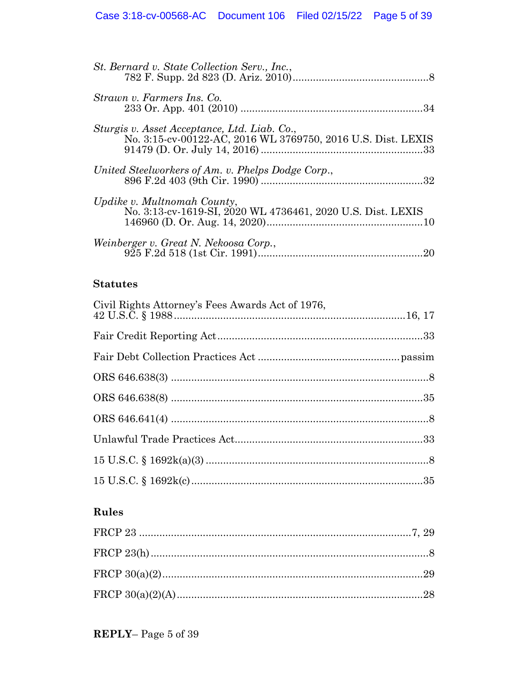| St. Bernard v. State Collection Serv., Inc.,                                                                 |
|--------------------------------------------------------------------------------------------------------------|
| Strawn v. Farmers Ins. Co.                                                                                   |
| Sturgis v. Asset Acceptance, Ltd. Liab. Co.,<br>No. 3:15-cv-00122-AC, 2016 WL 3769750, 2016 U.S. Dist. LEXIS |
| United Steelworkers of Am. v. Phelps Dodge Corp.,                                                            |
| Updike v. Multnomah County,<br>No. 3:13-cv-1619-SI, 2020 WL 4736461, 2020 U.S. Dist. LEXIS                   |
| Weinberger v. Great N. Nekoosa Corp.,<br>20                                                                  |

# **Statutes**

| Civil Rights Attorney's Fees Awards Act of 1976,                                                                                                                                                                                                                                                                                                                  |  |
|-------------------------------------------------------------------------------------------------------------------------------------------------------------------------------------------------------------------------------------------------------------------------------------------------------------------------------------------------------------------|--|
|                                                                                                                                                                                                                                                                                                                                                                   |  |
|                                                                                                                                                                                                                                                                                                                                                                   |  |
|                                                                                                                                                                                                                                                                                                                                                                   |  |
|                                                                                                                                                                                                                                                                                                                                                                   |  |
|                                                                                                                                                                                                                                                                                                                                                                   |  |
|                                                                                                                                                                                                                                                                                                                                                                   |  |
| 15 U.S.C. $\frac{1692k(a)(3) \dots (1692k(a)(3) \dots (1692k(a)(3)) \dots (1692k(a)(3)) \dots (1692k(a)(3) \dots (368k(a)(3) \dots (368k(a)(3) \dots (368k(a)(3) \dots (368k(a)(3) \dots (368k(a)(3) \dots (368k(a)(3) \dots (368k(a)(3) \dots (368k(a)(3) \dots (368k(a)(3) \dots (368k(a)(3) \dots (368k(a)(3) \dots (368k(a)(3) \dots (368k(a)(3) \dots (368k$ |  |
|                                                                                                                                                                                                                                                                                                                                                                   |  |

# **Rules**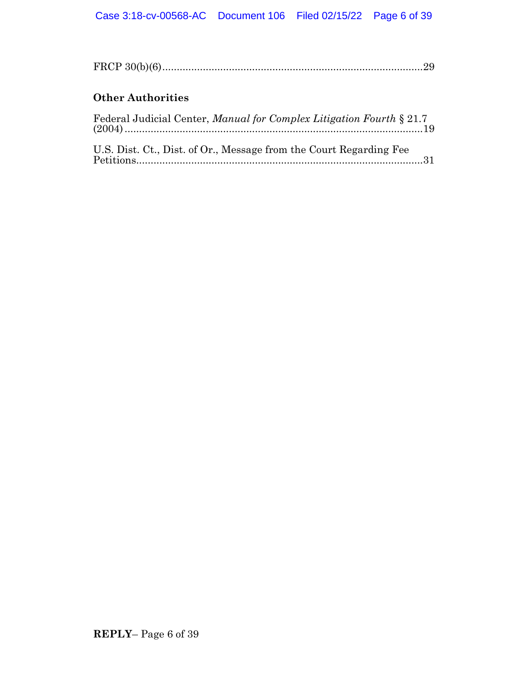# **Other Authorities**

| Federal Judicial Center, Manual for Complex Litigation Fourth § 21.7 |  |
|----------------------------------------------------------------------|--|
| U.S. Dist. Ct., Dist. of Or., Message from the Court Regarding Fee   |  |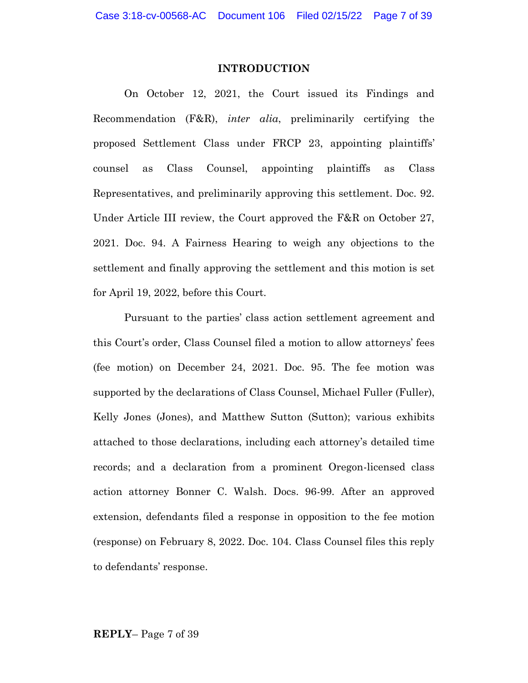#### **INTRODUCTION**

On October 12, 2021, the Court issued its Findings and Recommendation (F&R), *inter alia*, preliminarily certifying the proposed Settlement Class under FRCP 23, appointing plaintiffs' counsel as Class Counsel, appointing plaintiffs as Class Representatives, and preliminarily approving this settlement. Doc. 92. Under Article III review, the Court approved the F&R on October 27, 2021. Doc. 94. A Fairness Hearing to weigh any objections to the settlement and finally approving the settlement and this motion is set for April 19, 2022, before this Court.

Pursuant to the parties' class action settlement agreement and this Court's order, Class Counsel filed a motion to allow attorneys' fees (fee motion) on December 24, 2021. Doc. 95. The fee motion was supported by the declarations of Class Counsel, Michael Fuller (Fuller), Kelly Jones (Jones), and Matthew Sutton (Sutton); various exhibits attached to those declarations, including each attorney's detailed time records; and a declaration from a prominent Oregon-licensed class action attorney Bonner C. Walsh. Docs. 96-99. After an approved extension, defendants filed a response in opposition to the fee motion (response) on February 8, 2022. Doc. 104. Class Counsel files this reply to defendants' response.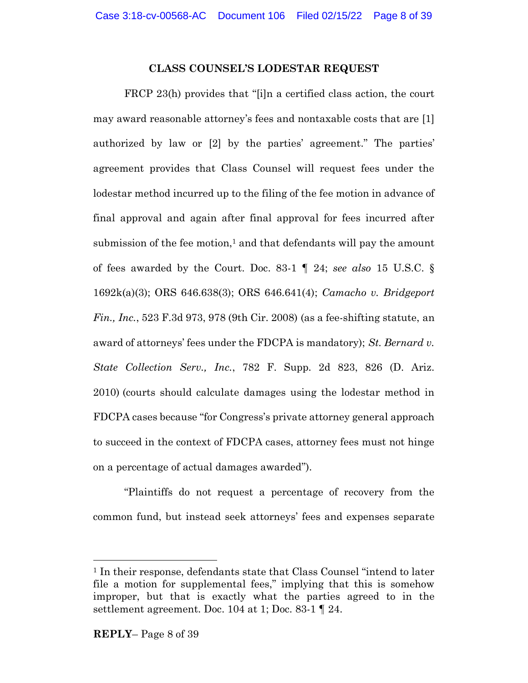#### **CLASS COUNSEL'S LODESTAR REQUEST**

FRCP 23(h) provides that "[i]n a certified class action, the court may award reasonable attorney's fees and nontaxable costs that are [1] authorized by law or [2] by the parties' agreement." The parties' agreement provides that Class Counsel will request fees under the lodestar method incurred up to the filing of the fee motion in advance of final approval and again after final approval for fees incurred after submission of the fee motion, <sup>1</sup> and that defendants will pay the amount of fees awarded by the Court. Doc. 83-1 ¶ 24; *see also* 15 U.S.C. § 1692k(a)(3); ORS 646.638(3); ORS 646.641(4); *Camacho v. Bridgeport Fin., Inc.*, 523 F.3d 973, 978 (9th Cir. 2008) (as a fee-shifting statute, an award of attorneys' fees under the FDCPA is mandatory); *St. Bernard v. State Collection Serv., Inc.*, 782 F. Supp. 2d 823, 826 (D. Ariz. 2010) (courts should calculate damages using the lodestar method in FDCPA cases because "for Congress's private attorney general approach to succeed in the context of FDCPA cases, attorney fees must not hinge on a percentage of actual damages awarded").

"Plaintiffs do not request a percentage of recovery from the common fund, but instead seek attorneys' fees and expenses separate

<sup>1</sup> In their response, defendants state that Class Counsel "intend to later file a motion for supplemental fees," implying that this is somehow improper, but that is exactly what the parties agreed to in the settlement agreement. Doc. 104 at 1; Doc. 83-1 ¶ 24.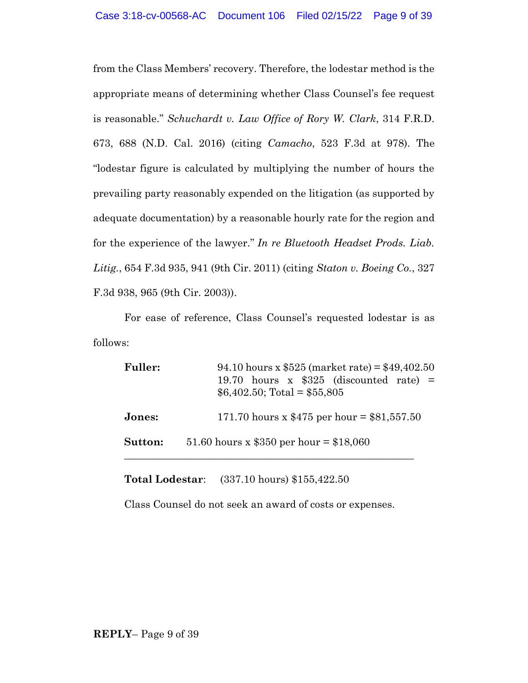from the Class Members' recovery. Therefore, the lodestar method is the appropriate means of determining whether Class Counsel's fee request is reasonable." *Schuchardt v. Law Office of Rory W. Clark*, 314 F.R.D. 673, 688 (N.D. Cal. 2016) (citing *Camacho*, 523 F.3d at 978). The "lodestar figure is calculated by multiplying the number of hours the prevailing party reasonably expended on the litigation (as supported by adequate documentation) by a reasonable hourly rate for the region and for the experience of the lawyer." *In re Bluetooth Headset Prods. Liab. Litig.*, 654 F.3d 935, 941 (9th Cir. 2011) (citing *Staton v. Boeing Co.*, 327 F.3d 938, 965 (9th Cir. 2003)).

For ease of reference, Class Counsel's requested lodestar is as follows:

| <b>Fuller:</b> | 94.10 hours x $$525$ (market rate) = $$49,402.50$<br>19.70 hours x $$325$ (discounted rate) =<br>$$6,402.50$ ; Total = \$55,805 |
|----------------|---------------------------------------------------------------------------------------------------------------------------------|
| Jones:         | 171.70 hours x $$475$ per hour = $$81,557.50$                                                                                   |
| Sutton:        | 51.60 hours x \$350 per hour = \$18,060                                                                                         |

**Total Lodestar**: (337.10 hours) \$155,422.50

Class Counsel do not seek an award of costs or expenses.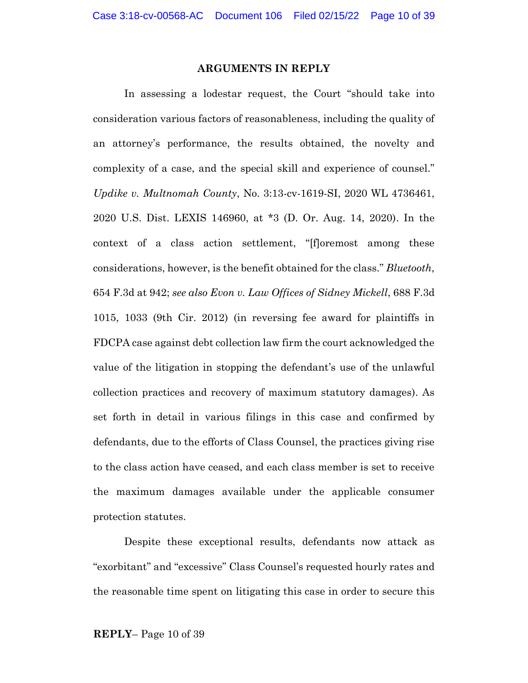#### **ARGUMENTS IN REPLY**

In assessing a lodestar request, the Court "should take into consideration various factors of reasonableness, including the quality of an attorney's performance, the results obtained, the novelty and complexity of a case, and the special skill and experience of counsel." *Updike v. Multnomah County*, No. 3:13-cv-1619-SI, 2020 WL 4736461, 2020 U.S. Dist. LEXIS 146960, at \*3 (D. Or. Aug. 14, 2020). In the context of a class action settlement, "[f]oremost among these considerations, however, is the benefit obtained for the class." *Bluetooth*, 654 F.3d at 942; *see also Evon v. Law Offices of Sidney Mickell*, 688 F.3d 1015, 1033 (9th Cir. 2012) (in reversing fee award for plaintiffs in FDCPA case against debt collection law firm the court acknowledged the value of the litigation in stopping the defendant's use of the unlawful collection practices and recovery of maximum statutory damages). As set forth in detail in various filings in this case and confirmed by defendants, due to the efforts of Class Counsel, the practices giving rise to the class action have ceased, and each class member is set to receive the maximum damages available under the applicable consumer protection statutes.

Despite these exceptional results, defendants now attack as "exorbitant" and "excessive" Class Counsel's requested hourly rates and the reasonable time spent on litigating this case in order to secure this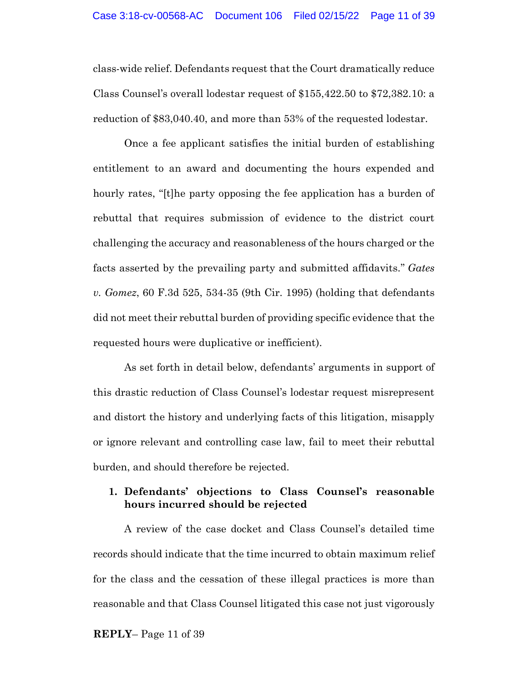class-wide relief. Defendants request that the Court dramatically reduce Class Counsel's overall lodestar request of \$155,422.50 to \$72,382.10: a reduction of \$83,040.40, and more than 53% of the requested lodestar.

Once a fee applicant satisfies the initial burden of establishing entitlement to an award and documenting the hours expended and hourly rates, "[t]he party opposing the fee application has a burden of rebuttal that requires submission of evidence to the district court challenging the accuracy and reasonableness of the hours charged or the facts asserted by the prevailing party and submitted affidavits." *Gates v. Gomez*, 60 F.3d 525, 534-35 (9th Cir. 1995) (holding that defendants did not meet their rebuttal burden of providing specific evidence that the requested hours were duplicative or inefficient).

As set forth in detail below, defendants' arguments in support of this drastic reduction of Class Counsel's lodestar request misrepresent and distort the history and underlying facts of this litigation, misapply or ignore relevant and controlling case law, fail to meet their rebuttal burden, and should therefore be rejected.

### **1. Defendants' objections to Class Counsel's reasonable hours incurred should be rejected**

A review of the case docket and Class Counsel's detailed time records should indicate that the time incurred to obtain maximum relief for the class and the cessation of these illegal practices is more than reasonable and that Class Counsel litigated this case not just vigorously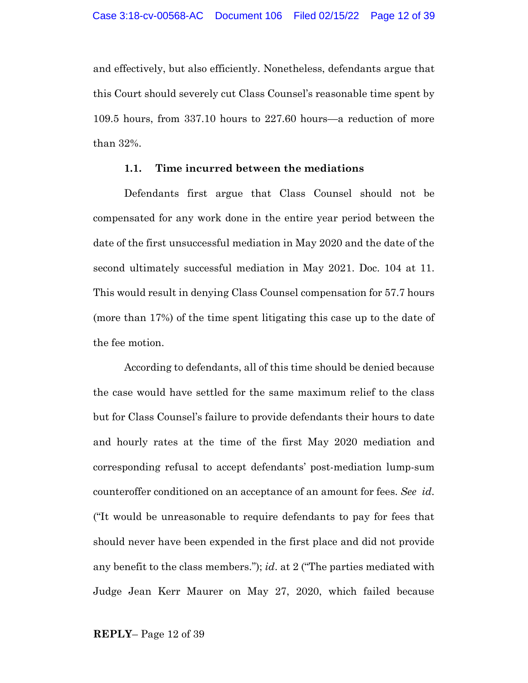and effectively, but also efficiently. Nonetheless, defendants argue that this Court should severely cut Class Counsel's reasonable time spent by 109.5 hours, from 337.10 hours to 227.60 hours—a reduction of more than 32%.

#### **1.1. Time incurred between the mediations**

Defendants first argue that Class Counsel should not be compensated for any work done in the entire year period between the date of the first unsuccessful mediation in May 2020 and the date of the second ultimately successful mediation in May 2021. Doc. 104 at 11. This would result in denying Class Counsel compensation for 57.7 hours (more than 17%) of the time spent litigating this case up to the date of the fee motion.

According to defendants, all of this time should be denied because the case would have settled for the same maximum relief to the class but for Class Counsel's failure to provide defendants their hours to date and hourly rates at the time of the first May 2020 mediation and corresponding refusal to accept defendants' post-mediation lump-sum counteroffer conditioned on an acceptance of an amount for fees. *See id*. ("It would be unreasonable to require defendants to pay for fees that should never have been expended in the first place and did not provide any benefit to the class members."); *id*. at 2 ("The parties mediated with Judge Jean Kerr Maurer on May 27, 2020, which failed because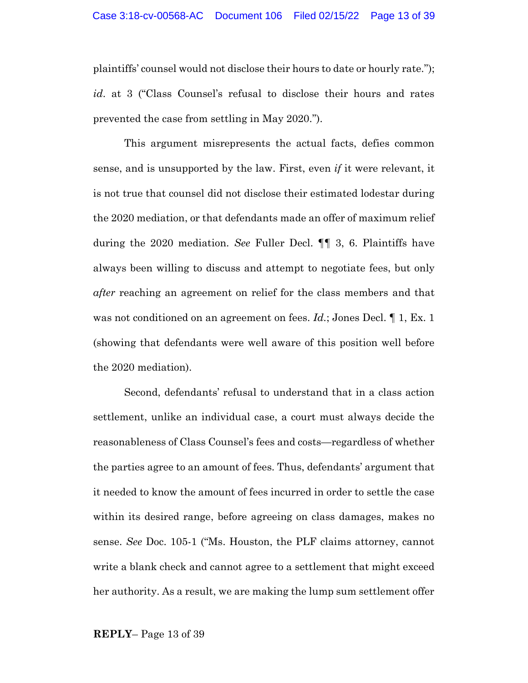plaintiffs' counsel would not disclose their hours to date or hourly rate."); *id*. at 3 ("Class Counsel's refusal to disclose their hours and rates prevented the case from settling in May 2020.").

This argument misrepresents the actual facts, defies common sense, and is unsupported by the law. First, even *if* it were relevant, it is not true that counsel did not disclose their estimated lodestar during the 2020 mediation, or that defendants made an offer of maximum relief during the 2020 mediation. *See* Fuller Decl. ¶¶ 3, 6. Plaintiffs have always been willing to discuss and attempt to negotiate fees, but only *after* reaching an agreement on relief for the class members and that was not conditioned on an agreement on fees. *Id.*; Jones Decl. ¶ 1, Ex. 1 (showing that defendants were well aware of this position well before the 2020 mediation).

Second, defendants' refusal to understand that in a class action settlement, unlike an individual case, a court must always decide the reasonableness of Class Counsel's fees and costs—regardless of whether the parties agree to an amount of fees. Thus, defendants' argument that it needed to know the amount of fees incurred in order to settle the case within its desired range, before agreeing on class damages, makes no sense. *See* Doc. 105-1 ("Ms. Houston, the PLF claims attorney, cannot write a blank check and cannot agree to a settlement that might exceed her authority. As a result, we are making the lump sum settlement offer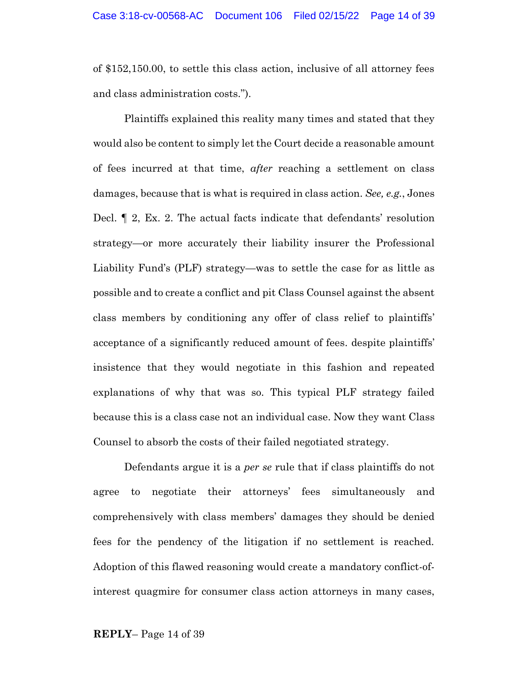of \$152,150.00, to settle this class action, inclusive of all attorney fees and class administration costs.").

Plaintiffs explained this reality many times and stated that they would also be content to simply let the Court decide a reasonable amount of fees incurred at that time, *after* reaching a settlement on class damages, because that is what is required in class action. *See, e.g.*, Jones Decl. ¶ 2, Ex. 2. The actual facts indicate that defendants' resolution strategy—or more accurately their liability insurer the Professional Liability Fund's (PLF) strategy—was to settle the case for as little as possible and to create a conflict and pit Class Counsel against the absent class members by conditioning any offer of class relief to plaintiffs' acceptance of a significantly reduced amount of fees. despite plaintiffs' insistence that they would negotiate in this fashion and repeated explanations of why that was so. This typical PLF strategy failed because this is a class case not an individual case. Now they want Class Counsel to absorb the costs of their failed negotiated strategy.

Defendants argue it is a *per se* rule that if class plaintiffs do not agree to negotiate their attorneys' fees simultaneously and comprehensively with class members' damages they should be denied fees for the pendency of the litigation if no settlement is reached. Adoption of this flawed reasoning would create a mandatory conflict-ofinterest quagmire for consumer class action attorneys in many cases,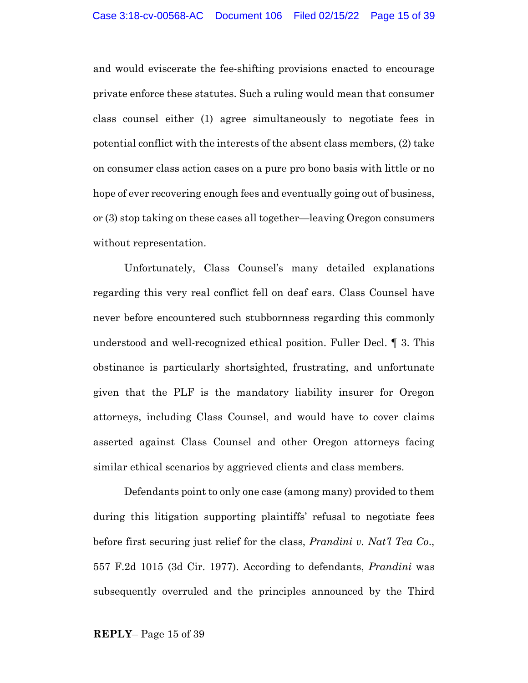and would eviscerate the fee-shifting provisions enacted to encourage private enforce these statutes. Such a ruling would mean that consumer class counsel either (1) agree simultaneously to negotiate fees in potential conflict with the interests of the absent class members, (2) take on consumer class action cases on a pure pro bono basis with little or no hope of ever recovering enough fees and eventually going out of business, or (3) stop taking on these cases all together—leaving Oregon consumers without representation.

Unfortunately, Class Counsel's many detailed explanations regarding this very real conflict fell on deaf ears. Class Counsel have never before encountered such stubbornness regarding this commonly understood and well-recognized ethical position. Fuller Decl. ¶ 3. This obstinance is particularly shortsighted, frustrating, and unfortunate given that the PLF is the mandatory liability insurer for Oregon attorneys, including Class Counsel, and would have to cover claims asserted against Class Counsel and other Oregon attorneys facing similar ethical scenarios by aggrieved clients and class members.

Defendants point to only one case (among many) provided to them during this litigation supporting plaintiffs' refusal to negotiate fees before first securing just relief for the class, *Prandini v. Nat'l Tea Co*., 557 F.2d 1015 (3d Cir. 1977). According to defendants, *Prandini* was subsequently overruled and the principles announced by the Third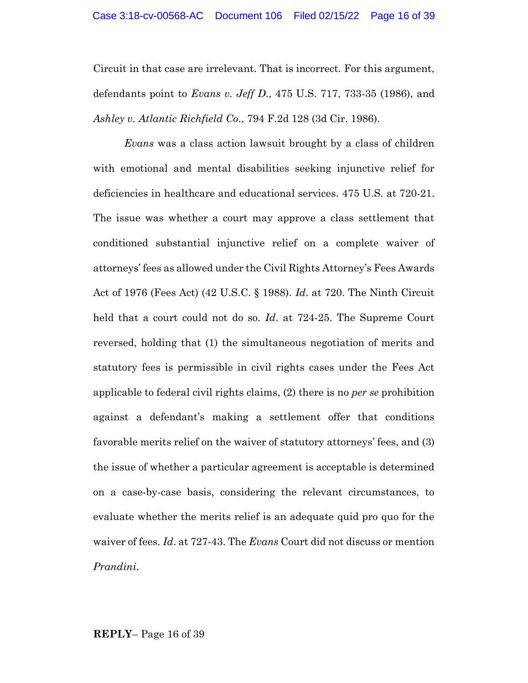Circuit in that case are irrelevant. That is incorrect. For this argument, defendants point to *Evans v. Jeff D*., 475 U.S. 717, 733-35 (1986), and *Ashley v. Atlantic Richfield Co*., 794 F.2d 128 (3d Cir. 1986).

*Evans* was a class action lawsuit brought by a class of children with emotional and mental disabilities seeking injunctive relief for deficiencies in healthcare and educational services. 475 U.S. at 720-21. The issue was whether a court may approve a class settlement that conditioned substantial injunctive relief on a complete waiver of attorneys' fees as allowed under the Civil Rights Attorney's Fees Awards Act of 1976 (Fees Act) (42 U.S.C. § 1988). *Id*. at 720. The Ninth Circuit held that a court could not do so. *Id*. at 724-25. The Supreme Court reversed, holding that (1) the simultaneous negotiation of merits and statutory fees is permissible in civil rights cases under the Fees Act applicable to federal civil rights claims, (2) there is no *per se* prohibition against a defendant's making a settlement offer that conditions favorable merits relief on the waiver of statutory attorneys' fees, and (3) the issue of whether a particular agreement is acceptable is determined on a case-by-case basis, considering the relevant circumstances, to evaluate whether the merits relief is an adequate quid pro quo for the waiver of fees. *Id*. at 727-43. The *Evans* Court did not discuss or mention *Prandini*.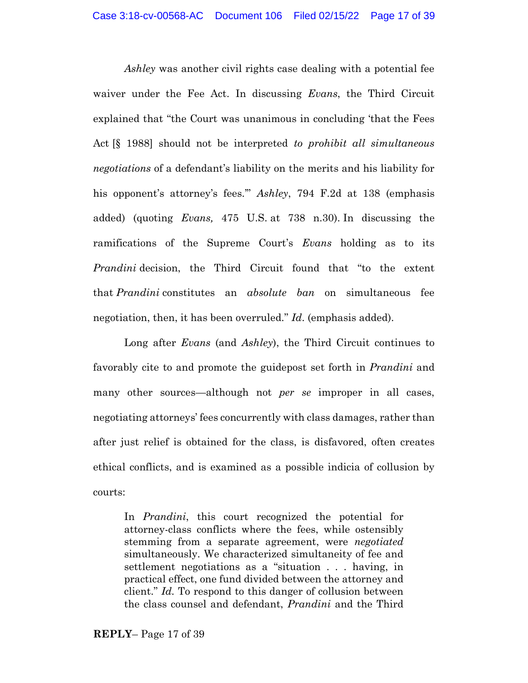*Ashley* was another civil rights case dealing with a potential fee waiver under the Fee Act. In discussing *Evans*, the Third Circuit explained that "the Court was unanimous in concluding 'that the Fees Act [§ 1988] should not be interpreted *to prohibit all simultaneous negotiations* of a defendant's liability on the merits and his liability for his opponent's attorney's fees.'" *Ashley*, 794 F.2d at 138 (emphasis added) (quoting *Evans,* 475 U.S. at 738 n.30). In discussing the ramifications of the Supreme Court's *Evans* holding as to its *Prandini* decision, the Third Circuit found that "to the extent that *Prandini* constitutes an *absolute ban* on simultaneous fee negotiation, then, it has been overruled." *Id*. (emphasis added).

Long after *Evans* (and *Ashley*), the Third Circuit continues to favorably cite to and promote the guidepost set forth in *Prandini* and many other sources—although not *per se* improper in all cases, negotiating attorneys' fees concurrently with class damages, rather than after just relief is obtained for the class, is disfavored, often creates ethical conflicts, and is examined as a possible indicia of collusion by courts:

In *Prandini*, this court recognized the potential for attorney-class conflicts where the fees, while ostensibly stemming from a separate agreement, were *negotiated* simultaneously. We characterized simultaneity of fee and settlement negotiations as a "situation . . . having, in practical effect, one fund divided between the attorney and client." *Id.* To respond to this danger of collusion between the class counsel and defendant, *Prandini* and the Third

**REPLY**– Page 17 of 39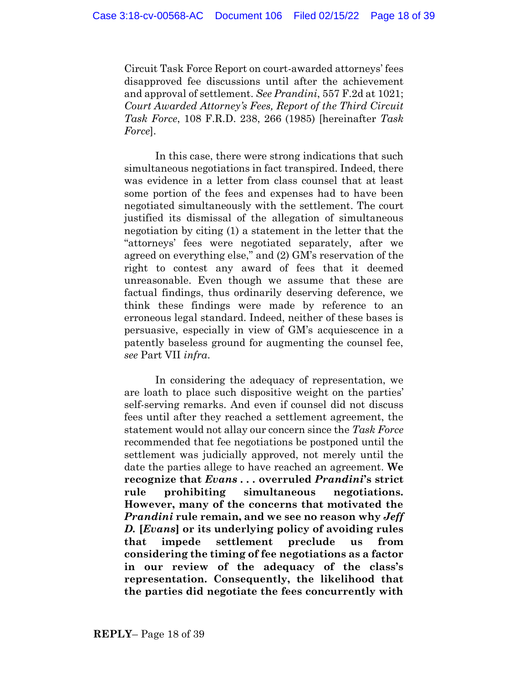Circuit Task Force Report on court-awarded attorneys' fees disapproved fee discussions until after the achievement and approval of settlement. *See Prandini*, 557 F.2d at 1021; *Court Awarded Attorney's Fees, Report of the Third Circuit Task Force*, 108 F.R.D. 238, 266 (1985) [hereinafter *Task Force*].

In this case, there were strong indications that such simultaneous negotiations in fact transpired. Indeed, there was evidence in a letter from class counsel that at least some portion of the fees and expenses had to have been negotiated simultaneously with the settlement. The court justified its dismissal of the allegation of simultaneous negotiation by citing (1) a statement in the letter that the "attorneys' fees were negotiated separately, after we agreed on everything else," and (2) GM's reservation of the right to contest any award of fees that it deemed unreasonable. Even though we assume that these are factual findings, thus ordinarily deserving deference, we think these findings were made by reference to an erroneous legal standard. Indeed, neither of these bases is persuasive, especially in view of GM's acquiescence in a patently baseless ground for augmenting the counsel fee, *see* Part VII *infra*.

In considering the adequacy of representation, we are loath to place such dispositive weight on the parties' self-serving remarks. And even if counsel did not discuss fees until after they reached a settlement agreement, the statement would not allay our concern since the *Task Force* recommended that fee negotiations be postponed until the settlement was judicially approved, not merely until the date the parties allege to have reached an agreement. **We recognize that** *Evans . . .* **overruled** *Prandini***'s strict rule prohibiting simultaneous negotiations. However, many of the concerns that motivated the** *Prandini* **rule remain, and we see no reason why** *Jeff D.* **[***Evans***] or its underlying policy of avoiding rules that impede settlement preclude us from considering the timing of fee negotiations as a factor in our review of the adequacy of the class's representation. Consequently, the likelihood that the parties did negotiate the fees concurrently with**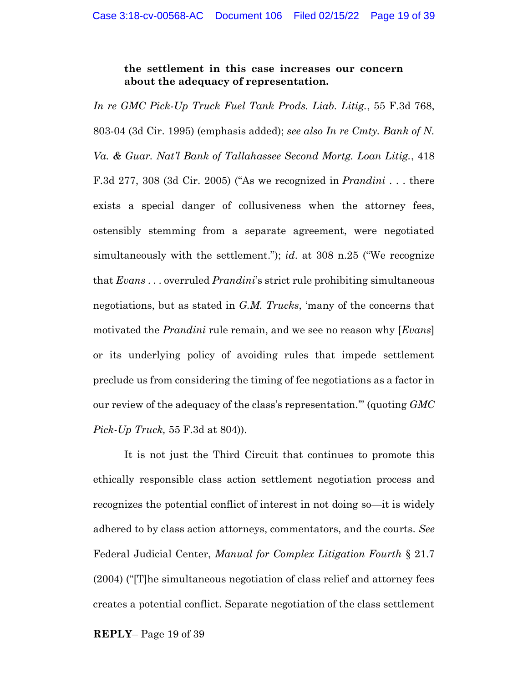**the settlement in this case increases our concern about the adequacy of representation.**

*In re GMC Pick-Up Truck Fuel Tank Prods. Liab. Litig.*, 55 F.3d 768, 803-04 (3d Cir. 1995) (emphasis added); *see also In re Cmty. Bank of N. Va. & Guar. Nat'l Bank of Tallahassee Second Mortg. Loan Litig.*, 418 F.3d 277, 308 (3d Cir. 2005) ("As we recognized in *Prandini* . . . there exists a special danger of collusiveness when the attorney fees, ostensibly stemming from a separate agreement, were negotiated simultaneously with the settlement."); *id*. at 308 n.25 ("We recognize that *Evans* . . . overruled *Prandini*'s strict rule prohibiting simultaneous negotiations, but as stated in *G.M. Trucks*, 'many of the concerns that motivated the *Prandini* rule remain, and we see no reason why [*Evans*] or its underlying policy of avoiding rules that impede settlement preclude us from considering the timing of fee negotiations as a factor in our review of the adequacy of the class's representation.'" (quoting *GMC Pick-Up Truck,* 55 F.3d at 804)).

It is not just the Third Circuit that continues to promote this ethically responsible class action settlement negotiation process and recognizes the potential conflict of interest in not doing so—it is widely adhered to by class action attorneys, commentators, and the courts. *See*  Federal Judicial Center, *Manual for Complex Litigation Fourth* § 21.7 (2004) ("[T]he simultaneous negotiation of class relief and attorney fees creates a potential conflict. Separate negotiation of the class settlement

**REPLY**– Page 19 of 39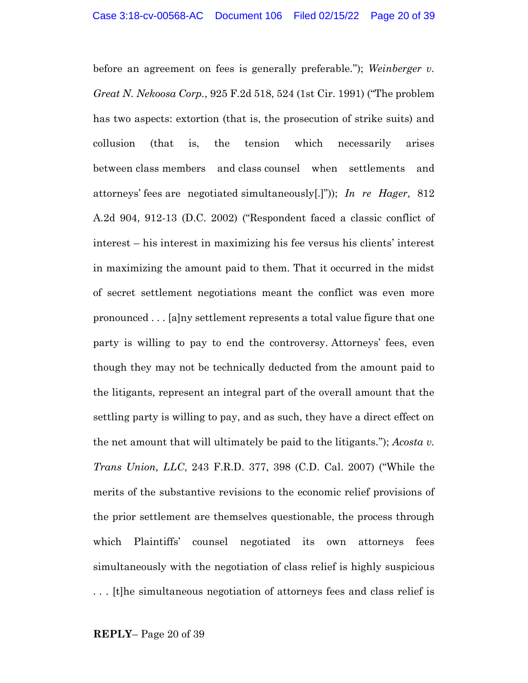before an agreement on fees is generally preferable."); *Weinberger v. Great N. Nekoosa Corp.*, 925 F.2d 518, 524 (1st Cir. 1991) ("The problem has two aspects: extortion (that is, the prosecution of strike suits) and collusion (that is, the tension which necessarily arises between class members and class counsel when settlements and attorneys' fees are negotiated simultaneously[.]")); *In re Hager*, 812 A.2d 904, 912-13 (D.C. 2002) ("Respondent faced a classic conflict of interest – his interest in maximizing his fee versus his clients' interest in maximizing the amount paid to them. That it occurred in the midst of secret settlement negotiations meant the conflict was even more pronounced . . . [a]ny settlement represents a total value figure that one party is willing to pay to end the controversy. Attorneys' fees, even though they may not be technically deducted from the amount paid to the litigants, represent an integral part of the overall amount that the settling party is willing to pay, and as such, they have a direct effect on the net amount that will ultimately be paid to the litigants."); *Acosta v. Trans Union, LLC*, 243 F.R.D. 377, 398 (C.D. Cal. 2007) ("While the merits of the substantive revisions to the economic relief provisions of the prior settlement are themselves questionable, the process through which Plaintiffs' counsel negotiated its own attorneys fees simultaneously with the negotiation of class relief is highly suspicious . . . [t]he simultaneous negotiation of attorneys fees and class relief is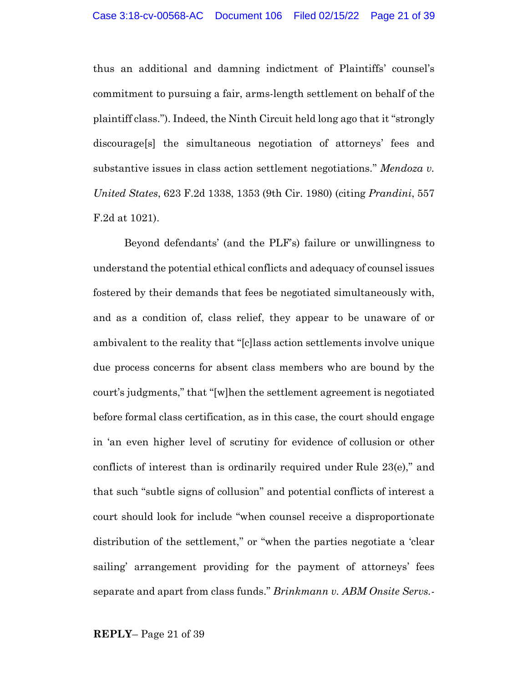thus an additional and damning indictment of Plaintiffs' counsel's commitment to pursuing a fair, arms-length settlement on behalf of the plaintiff class."). Indeed, the Ninth Circuit held long ago that it "strongly discourage[s] the simultaneous negotiation of attorneys' fees and substantive issues in class action settlement negotiations." *Mendoza v. United States*, 623 F.2d 1338, 1353 (9th Cir. 1980) (citing *Prandini*, 557 F.2d at 1021).

Beyond defendants' (and the PLF's) failure or unwillingness to understand the potential ethical conflicts and adequacy of counsel issues fostered by their demands that fees be negotiated simultaneously with, and as a condition of, class relief, they appear to be unaware of or ambivalent to the reality that "[c]lass action settlements involve unique due process concerns for absent class members who are bound by the court's judgments," that "[w]hen the settlement agreement is negotiated before formal class certification, as in this case, the court should engage in 'an even higher level of scrutiny for evidence of collusion or other conflicts of interest than is ordinarily required under Rule 23(e)," and that such "subtle signs of collusion" and potential conflicts of interest a court should look for include "when counsel receive a disproportionate distribution of the settlement," or "when the parties negotiate a 'clear sailing' arrangement providing for the payment of attorneys' fees separate and apart from class funds." *Brinkmann v. ABM Onsite Servs.-*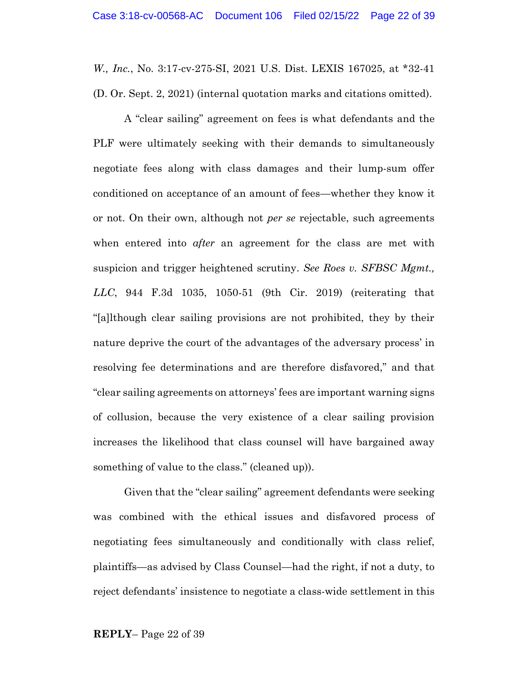*W., Inc.*, No. 3:17-cv-275-SI, 2021 U.S. Dist. LEXIS 167025, at \*32-41 (D. Or. Sept. 2, 2021) (internal quotation marks and citations omitted).

A "clear sailing" agreement on fees is what defendants and the PLF were ultimately seeking with their demands to simultaneously negotiate fees along with class damages and their lump-sum offer conditioned on acceptance of an amount of fees—whether they know it or not. On their own, although not *per se* rejectable, such agreements when entered into *after* an agreement for the class are met with suspicion and trigger heightened scrutiny. *See Roes v. SFBSC Mgmt., LLC*, 944 F.3d 1035, 1050-51 (9th Cir. 2019) (reiterating that "[a]lthough clear sailing provisions are not prohibited, they by their nature deprive the court of the advantages of the adversary process' in resolving fee determinations and are therefore disfavored," and that "clear sailing agreements on attorneys' fees are important warning signs of collusion, because the very existence of a clear sailing provision increases the likelihood that class counsel will have bargained away something of value to the class." (cleaned up)).

Given that the "clear sailing" agreement defendants were seeking was combined with the ethical issues and disfavored process of negotiating fees simultaneously and conditionally with class relief, plaintiffs—as advised by Class Counsel—had the right, if not a duty, to reject defendants' insistence to negotiate a class-wide settlement in this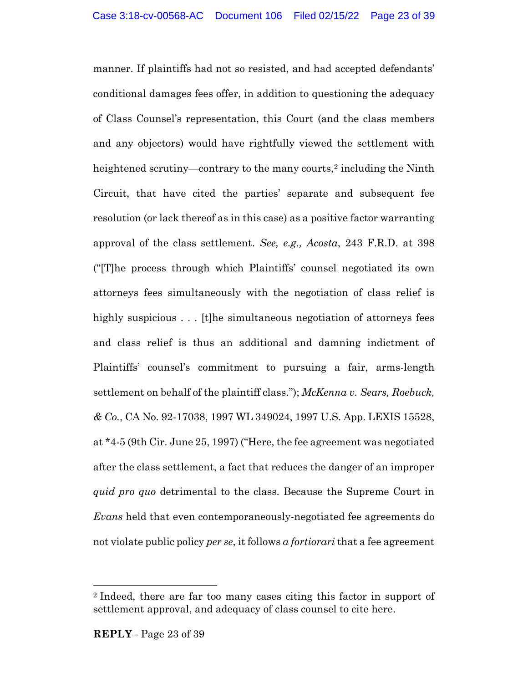manner. If plaintiffs had not so resisted, and had accepted defendants' conditional damages fees offer, in addition to questioning the adequacy of Class Counsel's representation, this Court (and the class members and any objectors) would have rightfully viewed the settlement with heightened scrutiny—contrary to the many courts, <sup>2</sup> including the Ninth Circuit, that have cited the parties' separate and subsequent fee resolution (or lack thereof as in this case) as a positive factor warranting approval of the class settlement. *See, e.g., Acosta*, 243 F.R.D. at 398 ("[T]he process through which Plaintiffs' counsel negotiated its own attorneys fees simultaneously with the negotiation of class relief is highly suspicious . . . [t]he simultaneous negotiation of attorneys fees and class relief is thus an additional and damning indictment of Plaintiffs' counsel's commitment to pursuing a fair, arms-length settlement on behalf of the plaintiff class."); *McKenna v. Sears, Roebuck, & Co.*, CA No. 92-17038, 1997 WL 349024, 1997 U.S. App. LEXIS 15528, at \*4-5 (9th Cir. June 25, 1997) ("Here, the fee agreement was negotiated after the class settlement, a fact that reduces the danger of an improper *quid pro quo* detrimental to the class. Because the Supreme Court in *Evans* held that even contemporaneously-negotiated fee agreements do not violate public policy *per se*, it follows *a fortiorari* that a fee agreement

<sup>2</sup> Indeed, there are far too many cases citing this factor in support of settlement approval, and adequacy of class counsel to cite here.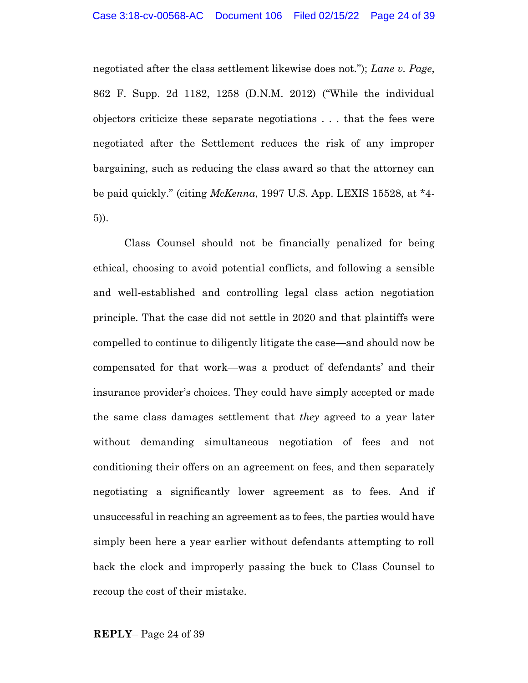negotiated after the class settlement likewise does not."); *Lane v. Page*, 862 F. Supp. 2d 1182, 1258 (D.N.M. 2012) ("While the individual objectors criticize these separate negotiations . . . that the fees were negotiated after the Settlement reduces the risk of any improper bargaining, such as reducing the class award so that the attorney can be paid quickly." (citing *McKenna*, 1997 U.S. App. LEXIS 15528, at \*4- 5)).

Class Counsel should not be financially penalized for being ethical, choosing to avoid potential conflicts, and following a sensible and well-established and controlling legal class action negotiation principle. That the case did not settle in 2020 and that plaintiffs were compelled to continue to diligently litigate the case—and should now be compensated for that work—was a product of defendants' and their insurance provider's choices. They could have simply accepted or made the same class damages settlement that *they* agreed to a year later without demanding simultaneous negotiation of fees and not conditioning their offers on an agreement on fees, and then separately negotiating a significantly lower agreement as to fees. And if unsuccessful in reaching an agreement as to fees, the parties would have simply been here a year earlier without defendants attempting to roll back the clock and improperly passing the buck to Class Counsel to recoup the cost of their mistake.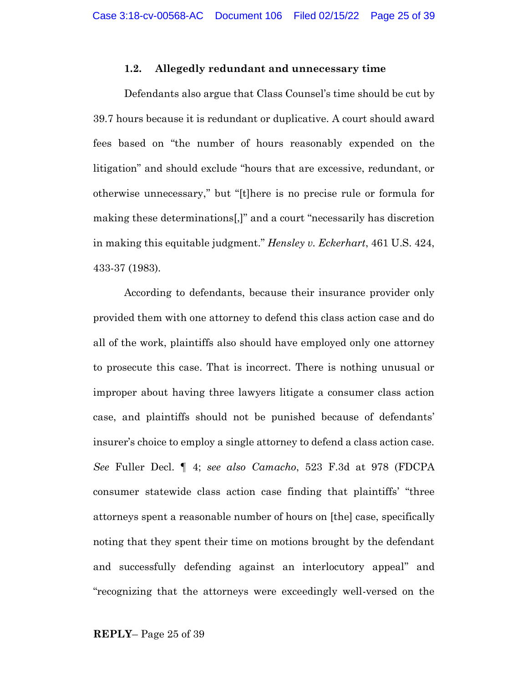#### **1.2. Allegedly redundant and unnecessary time**

Defendants also argue that Class Counsel's time should be cut by 39.7 hours because it is redundant or duplicative. A court should award fees based on "the number of hours reasonably expended on the litigation" and should exclude "hours that are excessive, redundant, or otherwise unnecessary," but "[t]here is no precise rule or formula for making these determinations[,]" and a court "necessarily has discretion in making this equitable judgment." *Hensley v. Eckerhart*, 461 U.S. 424, 433-37 (1983)*.*

According to defendants, because their insurance provider only provided them with one attorney to defend this class action case and do all of the work, plaintiffs also should have employed only one attorney to prosecute this case. That is incorrect. There is nothing unusual or improper about having three lawyers litigate a consumer class action case, and plaintiffs should not be punished because of defendants' insurer's choice to employ a single attorney to defend a class action case. *See* Fuller Decl. ¶ 4; *see also Camacho*, 523 F.3d at 978 (FDCPA consumer statewide class action case finding that plaintiffs' "three attorneys spent a reasonable number of hours on [the] case, specifically noting that they spent their time on motions brought by the defendant and successfully defending against an interlocutory appeal" and "recognizing that the attorneys were exceedingly well-versed on the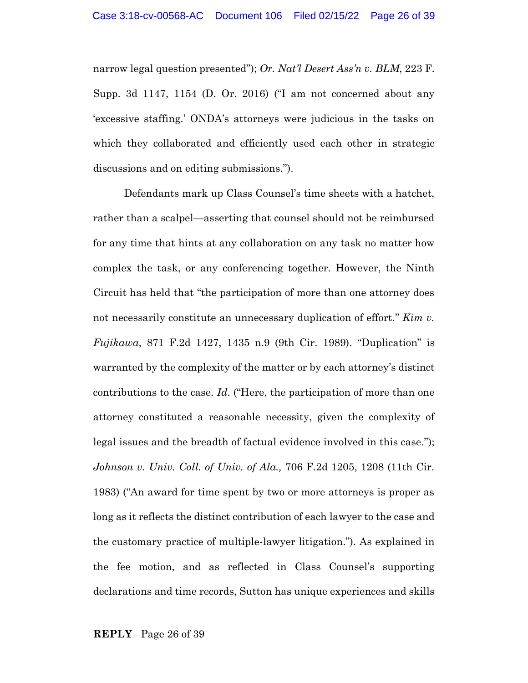narrow legal question presented"); *Or. Nat'l Desert Ass'n v. BLM*, 223 F. Supp. 3d 1147, 1154 (D. Or. 2016) ("I am not concerned about any 'excessive staffing.' ONDA's attorneys were judicious in the tasks on which they collaborated and efficiently used each other in strategic discussions and on editing submissions.").

Defendants mark up Class Counsel's time sheets with a hatchet, rather than a scalpel—asserting that counsel should not be reimbursed for any time that hints at any collaboration on any task no matter how complex the task, or any conferencing together. However, the Ninth Circuit has held that "the participation of more than one attorney does not necessarily constitute an unnecessary duplication of effort." *Kim v. Fujikawa*, 871 F.2d 1427, 1435 n.9 (9th Cir. 1989). "Duplication" is warranted by the complexity of the matter or by each attorney's distinct contributions to the case. *Id*. ("Here, the participation of more than one attorney constituted a reasonable necessity, given the complexity of legal issues and the breadth of factual evidence involved in this case."); *Johnson v. Univ. Coll. of Univ. of Ala.,* 706 F.2d 1205, 1208 (11th Cir. 1983) ("An award for time spent by two or more attorneys is proper as long as it reflects the distinct contribution of each lawyer to the case and the customary practice of multiple-lawyer litigation."). As explained in the fee motion, and as reflected in Class Counsel's supporting declarations and time records, Sutton has unique experiences and skills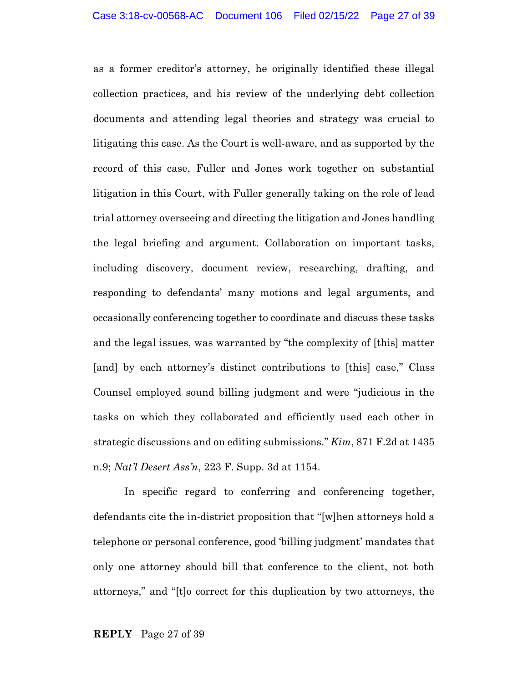as a former creditor's attorney, he originally identified these illegal collection practices, and his review of the underlying debt collection documents and attending legal theories and strategy was crucial to litigating this case. As the Court is well-aware, and as supported by the record of this case, Fuller and Jones work together on substantial litigation in this Court, with Fuller generally taking on the role of lead trial attorney overseeing and directing the litigation and Jones handling the legal briefing and argument. Collaboration on important tasks, including discovery, document review, researching, drafting, and responding to defendants' many motions and legal arguments, and occasionally conferencing together to coordinate and discuss these tasks and the legal issues, was warranted by "the complexity of [this] matter [and] by each attorney's distinct contributions to [this] case," Class Counsel employed sound billing judgment and were "judicious in the tasks on which they collaborated and efficiently used each other in strategic discussions and on editing submissions." *Kim*, 871 F.2d at 1435 n.9; *Nat'l Desert Ass'n*, 223 F. Supp. 3d at 1154.

In specific regard to conferring and conferencing together, defendants cite the in-district proposition that "[w]hen attorneys hold a telephone or personal conference, good 'billing judgment' mandates that only one attorney should bill that conference to the client, not both attorneys," and "[t]o correct for this duplication by two attorneys, the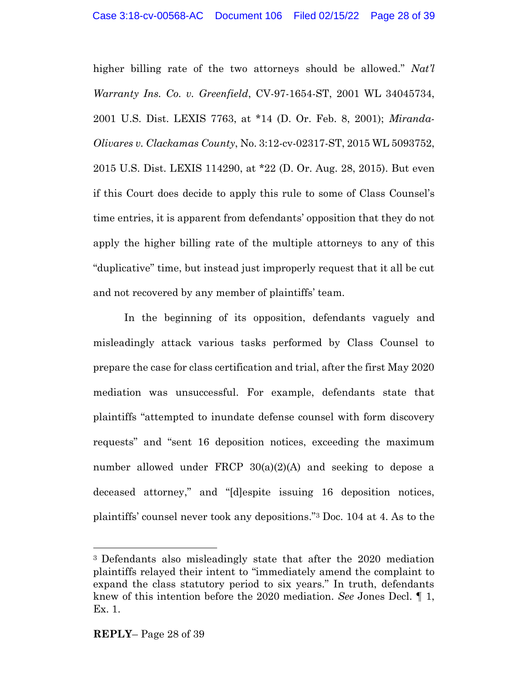higher billing rate of the two attorneys should be allowed." *Nat'l Warranty Ins. Co. v. Greenfield*, CV-97-1654-ST, 2001 WL 34045734, 2001 U.S. Dist. LEXIS 7763, at \*14 (D. Or. Feb. 8, 2001); *Miranda-Olivares v. Clackamas County*, No. 3:12-cv-02317-ST, 2015 WL 5093752, 2015 U.S. Dist. LEXIS 114290, at \*22 (D. Or. Aug. 28, 2015). But even if this Court does decide to apply this rule to some of Class Counsel's time entries, it is apparent from defendants' opposition that they do not apply the higher billing rate of the multiple attorneys to any of this "duplicative" time, but instead just improperly request that it all be cut and not recovered by any member of plaintiffs' team.

In the beginning of its opposition, defendants vaguely and misleadingly attack various tasks performed by Class Counsel to prepare the case for class certification and trial, after the first May 2020 mediation was unsuccessful. For example, defendants state that plaintiffs "attempted to inundate defense counsel with form discovery requests" and "sent 16 deposition notices, exceeding the maximum number allowed under FRCP  $30(a)(2)(A)$  and seeking to depose a deceased attorney," and "[d]espite issuing 16 deposition notices, plaintiffs' counsel never took any depositions."<sup>3</sup> Doc. 104 at 4. As to the

<sup>3</sup> Defendants also misleadingly state that after the 2020 mediation plaintiffs relayed their intent to "immediately amend the complaint to expand the class statutory period to six years." In truth, defendants knew of this intention before the 2020 mediation. *See* Jones Decl. ¶ 1, Ex. 1.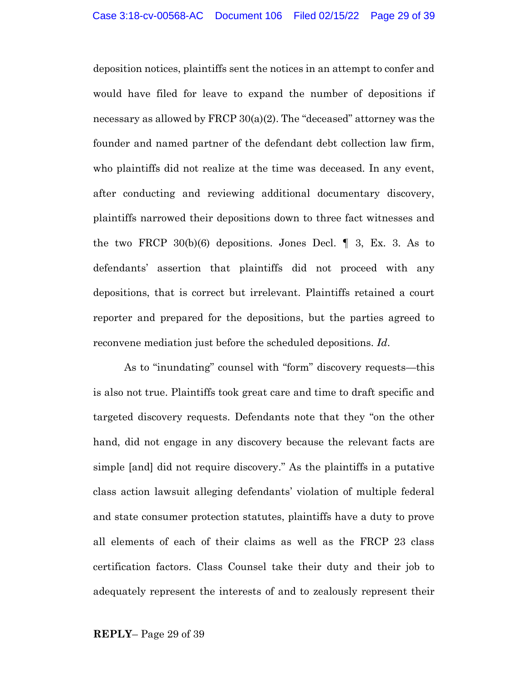deposition notices, plaintiffs sent the notices in an attempt to confer and would have filed for leave to expand the number of depositions if necessary as allowed by FRCP 30(a)(2). The "deceased" attorney was the founder and named partner of the defendant debt collection law firm, who plaintiffs did not realize at the time was deceased. In any event, after conducting and reviewing additional documentary discovery, plaintiffs narrowed their depositions down to three fact witnesses and the two FRCP  $30(b)(6)$  depositions. Jones Decl.  $\parallel$  3, Ex. 3. As to defendants' assertion that plaintiffs did not proceed with any depositions, that is correct but irrelevant. Plaintiffs retained a court reporter and prepared for the depositions, but the parties agreed to reconvene mediation just before the scheduled depositions. *Id*.

As to "inundating" counsel with "form" discovery requests—this is also not true. Plaintiffs took great care and time to draft specific and targeted discovery requests. Defendants note that they "on the other hand, did not engage in any discovery because the relevant facts are simple [and] did not require discovery." As the plaintiffs in a putative class action lawsuit alleging defendants' violation of multiple federal and state consumer protection statutes, plaintiffs have a duty to prove all elements of each of their claims as well as the FRCP 23 class certification factors. Class Counsel take their duty and their job to adequately represent the interests of and to zealously represent their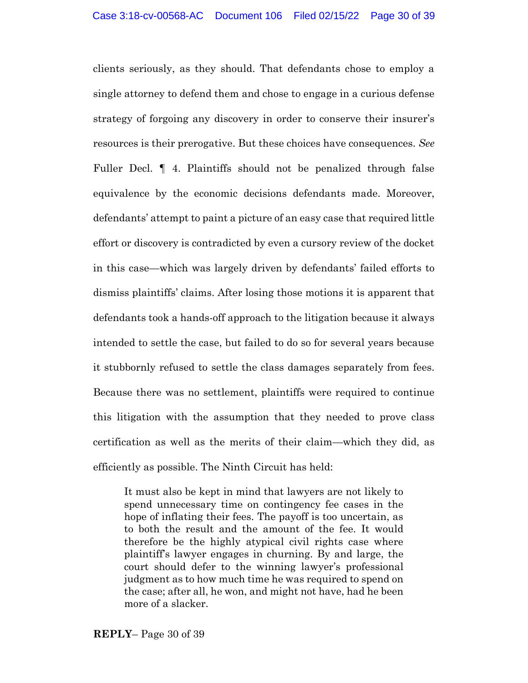clients seriously, as they should. That defendants chose to employ a single attorney to defend them and chose to engage in a curious defense strategy of forgoing any discovery in order to conserve their insurer's resources is their prerogative. But these choices have consequences. *See* Fuller Decl. ¶ 4. Plaintiffs should not be penalized through false equivalence by the economic decisions defendants made. Moreover, defendants' attempt to paint a picture of an easy case that required little effort or discovery is contradicted by even a cursory review of the docket in this case—which was largely driven by defendants' failed efforts to dismiss plaintiffs' claims. After losing those motions it is apparent that defendants took a hands-off approach to the litigation because it always intended to settle the case, but failed to do so for several years because it stubbornly refused to settle the class damages separately from fees. Because there was no settlement, plaintiffs were required to continue this litigation with the assumption that they needed to prove class certification as well as the merits of their claim—which they did, as efficiently as possible. The Ninth Circuit has held:

It must also be kept in mind that lawyers are not likely to spend unnecessary time on contingency fee cases in the hope of inflating their fees. The payoff is too uncertain, as to both the result and the amount of the fee. It would therefore be the highly atypical civil rights case where plaintiff's lawyer engages in churning. By and large, the court should defer to the winning lawyer's professional judgment as to how much time he was required to spend on the case; after all, he won, and might not have, had he been more of a slacker.

**REPLY**– Page 30 of 39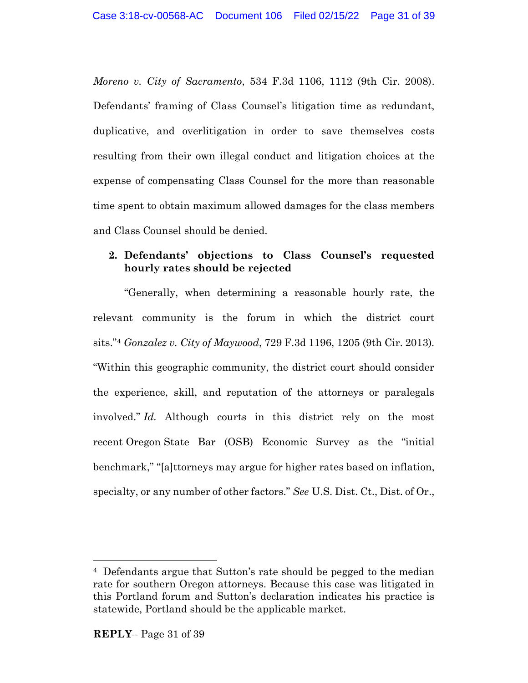*Moreno v. City of Sacramento*, 534 F.3d 1106, 1112 (9th Cir. 2008). Defendants' framing of Class Counsel's litigation time as redundant, duplicative, and overlitigation in order to save themselves costs resulting from their own illegal conduct and litigation choices at the expense of compensating Class Counsel for the more than reasonable time spent to obtain maximum allowed damages for the class members and Class Counsel should be denied.

### **2. Defendants' objections to Class Counsel's requested hourly rates should be rejected**

"Generally, when determining a reasonable hourly rate, the relevant community is the forum in which the district court sits." <sup>4</sup> *Gonzalez v. City of Maywood*, 729 F.3d 1196, 1205 (9th Cir. 2013)*.* "Within this geographic community, the district court should consider the experience, skill, and reputation of the attorneys or paralegals involved." *Id.* Although courts in this district rely on the most recent Oregon State Bar (OSB) Economic Survey as the "initial benchmark," "[a]ttorneys may argue for higher rates based on inflation, specialty, or any number of other factors." *See* U.S. Dist. Ct., Dist. of Or.,

<sup>4</sup> Defendants argue that Sutton's rate should be pegged to the median rate for southern Oregon attorneys. Because this case was litigated in this Portland forum and Sutton's declaration indicates his practice is statewide, Portland should be the applicable market.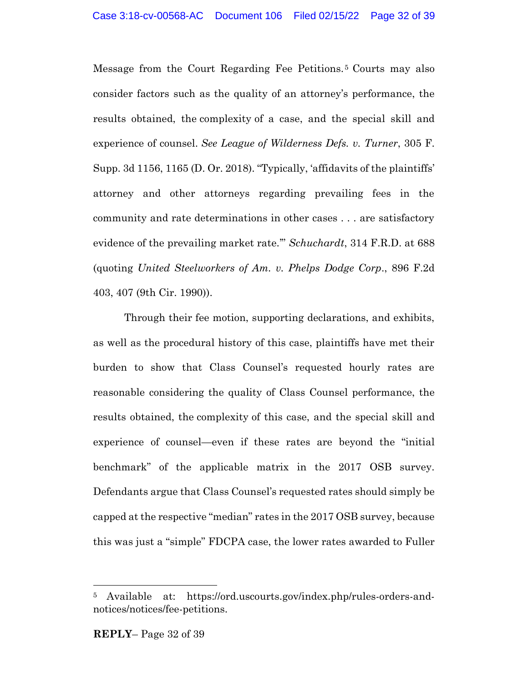Message from the Court Regarding Fee Petitions. <sup>5</sup> Courts may also consider factors such as the quality of an attorney's performance, the results obtained, the complexity of a case, and the special skill and experience of counsel. *See League of Wilderness Defs. v. Turner*, 305 F. Supp. 3d 1156, 1165 (D. Or. 2018). "Typically, 'affidavits of the plaintiffs' attorney and other attorneys regarding prevailing fees in the community and rate determinations in other cases . . . are satisfactory evidence of the prevailing market rate.'" *Schuchardt*, 314 F.R.D. at 688 (quoting *United Steelworkers of Am. v. Phelps Dodge Corp*., 896 F.2d 403, 407 (9th Cir. 1990)).

Through their fee motion, supporting declarations, and exhibits, as well as the procedural history of this case, plaintiffs have met their burden to show that Class Counsel's requested hourly rates are reasonable considering the quality of Class Counsel performance, the results obtained, the complexity of this case, and the special skill and experience of counsel—even if these rates are beyond the "initial benchmark" of the applicable matrix in the 2017 OSB survey. Defendants argue that Class Counsel's requested rates should simply be capped at the respective "median" rates in the 2017 OSB survey, because this was just a "simple" FDCPA case, the lower rates awarded to Fuller

<sup>5</sup> Available at: https://ord.uscourts.gov/index.php/rules-orders-andnotices/notices/fee-petitions.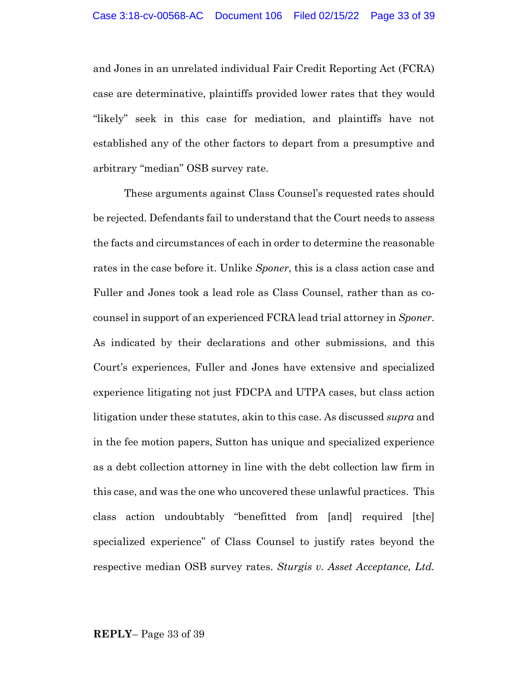and Jones in an unrelated individual Fair Credit Reporting Act (FCRA) case are determinative, plaintiffs provided lower rates that they would "likely" seek in this case for mediation, and plaintiffs have not established any of the other factors to depart from a presumptive and arbitrary "median" OSB survey rate.

These arguments against Class Counsel's requested rates should be rejected. Defendants fail to understand that the Court needs to assess the facts and circumstances of each in order to determine the reasonable rates in the case before it. Unlike *Sponer*, this is a class action case and Fuller and Jones took a lead role as Class Counsel, rather than as cocounsel in support of an experienced FCRA lead trial attorney in *Sponer*. As indicated by their declarations and other submissions, and this Court's experiences, Fuller and Jones have extensive and specialized experience litigating not just FDCPA and UTPA cases, but class action litigation under these statutes, akin to this case. As discussed *supra* and in the fee motion papers, Sutton has unique and specialized experience as a debt collection attorney in line with the debt collection law firm in this case, and was the one who uncovered these unlawful practices. This class action undoubtably "benefitted from [and] required [the] specialized experience" of Class Counsel to justify rates beyond the respective median OSB survey rates. *Sturgis v. Asset Acceptance, Ltd.*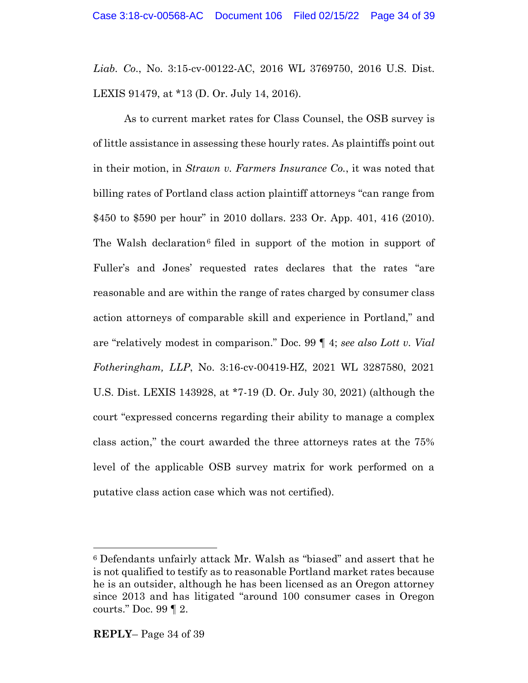*Liab. Co*., No. 3:15-cv-00122-AC, 2016 WL 3769750, 2016 U.S. Dist. LEXIS 91479, at \*13 (D. Or. July 14, 2016).

As to current market rates for Class Counsel, the OSB survey is of little assistance in assessing these hourly rates. As plaintiffs point out in their motion, in *Strawn v. Farmers Insurance Co.*, it was noted that billing rates of Portland class action plaintiff attorneys "can range from \$450 to \$590 per hour" in 2010 dollars. 233 Or. App. 401, 416 (2010). The Walsh declaration<sup>6</sup> filed in support of the motion in support of Fuller's and Jones' requested rates declares that the rates "are reasonable and are within the range of rates charged by consumer class action attorneys of comparable skill and experience in Portland," and are "relatively modest in comparison." Doc. 99 ¶ 4; *see also Lott v. Vial Fotheringham, LLP*, No. 3:16-cv-00419-HZ, 2021 WL 3287580, 2021 U.S. Dist. LEXIS 143928, at \*7-19 (D. Or. July 30, 2021) (although the court "expressed concerns regarding their ability to manage a complex class action," the court awarded the three attorneys rates at the 75% level of the applicable OSB survey matrix for work performed on a putative class action case which was not certified).

<sup>6</sup> Defendants unfairly attack Mr. Walsh as "biased" and assert that he is not qualified to testify as to reasonable Portland market rates because he is an outsider, although he has been licensed as an Oregon attorney since 2013 and has litigated "around 100 consumer cases in Oregon courts." Doc. 99 ¶ 2.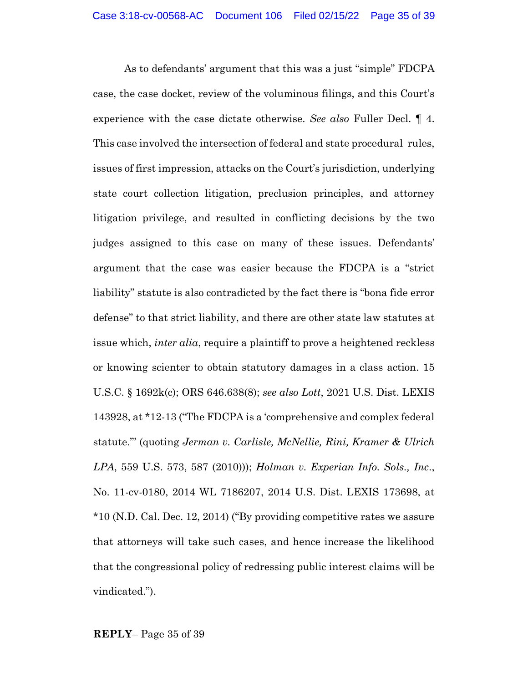As to defendants' argument that this was a just "simple" FDCPA case, the case docket, review of the voluminous filings, and this Court's experience with the case dictate otherwise. *See also* Fuller Decl. ¶ 4. This case involved the intersection of federal and state procedural rules, issues of first impression, attacks on the Court's jurisdiction, underlying state court collection litigation, preclusion principles, and attorney litigation privilege, and resulted in conflicting decisions by the two judges assigned to this case on many of these issues. Defendants' argument that the case was easier because the FDCPA is a "strict liability" statute is also contradicted by the fact there is "bona fide error defense" to that strict liability, and there are other state law statutes at issue which, *inter alia*, require a plaintiff to prove a heightened reckless or knowing scienter to obtain statutory damages in a class action. 15 U.S.C. § 1692k(c); ORS 646.638(8); *see also Lott*, 2021 U.S. Dist. LEXIS 143928, at \*12-13 ("The FDCPA is a 'comprehensive and complex federal statute."' (quoting *Jerman v. Carlisle, McNellie, Rini, Kramer & Ulrich LPA*, 559 U.S. 573, 587 (2010))); *Holman v. Experian Info. Sols., Inc*., No. 11-cv-0180, 2014 WL 7186207, 2014 U.S. Dist. LEXIS 173698, at \*10 (N.D. Cal. Dec. 12, 2014) ("By providing competitive rates we assure that attorneys will take such cases, and hence increase the likelihood that the congressional policy of redressing public interest claims will be vindicated.").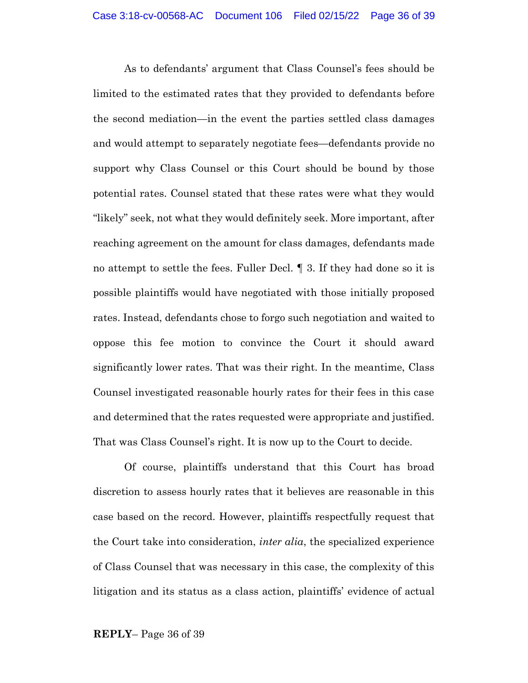As to defendants' argument that Class Counsel's fees should be limited to the estimated rates that they provided to defendants before the second mediation—in the event the parties settled class damages and would attempt to separately negotiate fees—defendants provide no support why Class Counsel or this Court should be bound by those potential rates. Counsel stated that these rates were what they would "likely" seek, not what they would definitely seek. More important, after reaching agreement on the amount for class damages, defendants made no attempt to settle the fees. Fuller Decl. ¶ 3. If they had done so it is possible plaintiffs would have negotiated with those initially proposed rates. Instead, defendants chose to forgo such negotiation and waited to oppose this fee motion to convince the Court it should award significantly lower rates. That was their right. In the meantime, Class Counsel investigated reasonable hourly rates for their fees in this case and determined that the rates requested were appropriate and justified. That was Class Counsel's right. It is now up to the Court to decide.

Of course, plaintiffs understand that this Court has broad discretion to assess hourly rates that it believes are reasonable in this case based on the record. However, plaintiffs respectfully request that the Court take into consideration, *inter alia*, the specialized experience of Class Counsel that was necessary in this case, the complexity of this litigation and its status as a class action, plaintiffs' evidence of actual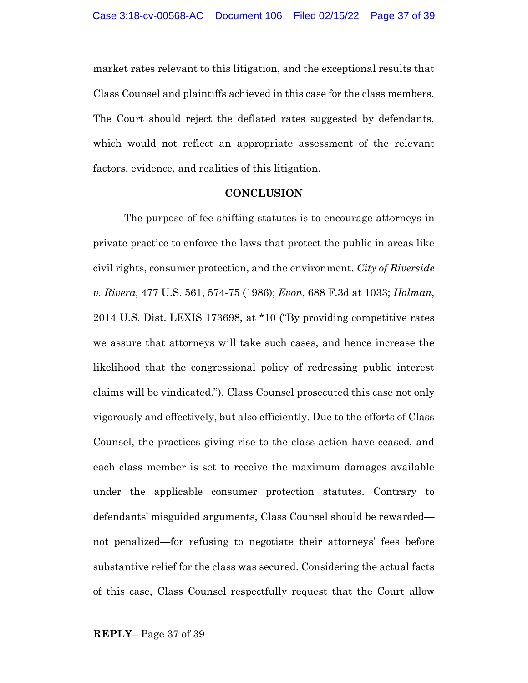market rates relevant to this litigation, and the exceptional results that Class Counsel and plaintiffs achieved in this case for the class members. The Court should reject the deflated rates suggested by defendants, which would not reflect an appropriate assessment of the relevant factors, evidence, and realities of this litigation.

#### **CONCLUSION**

The purpose of fee-shifting statutes is to encourage attorneys in private practice to enforce the laws that protect the public in areas like civil rights, consumer protection, and the environment. *City of Riverside v. Rivera*, 477 U.S. 561, 574-75 (1986); *Evon*, 688 F.3d at 1033; *Holman*, 2014 U.S. Dist. LEXIS 173698, at \*10 ("By providing competitive rates we assure that attorneys will take such cases, and hence increase the likelihood that the congressional policy of redressing public interest claims will be vindicated."). Class Counsel prosecuted this case not only vigorously and effectively, but also efficiently. Due to the efforts of Class Counsel, the practices giving rise to the class action have ceased, and each class member is set to receive the maximum damages available under the applicable consumer protection statutes. Contrary to defendants' misguided arguments, Class Counsel should be rewarded not penalized—for refusing to negotiate their attorneys' fees before substantive relief for the class was secured. Considering the actual facts of this case, Class Counsel respectfully request that the Court allow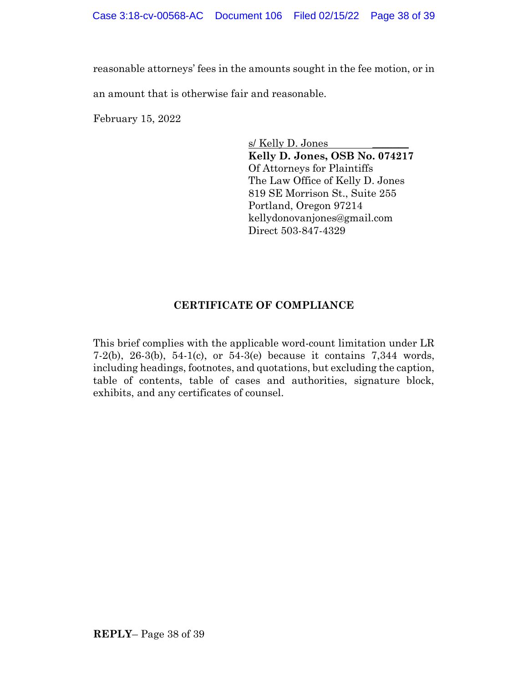reasonable attorneys' fees in the amounts sought in the fee motion, or in an amount that is otherwise fair and reasonable.

February 15, 2022

s/ Kelly D. Jones **Kelly D. Jones, OSB No. 074217** Of Attorneys for Plaintiffs The Law Office of Kelly D. Jones 819 SE Morrison St., Suite 255 Portland, Oregon 97214 kellydonovanjones@gmail.com Direct 503-847-4329

### **CERTIFICATE OF COMPLIANCE**

This brief complies with the applicable word-count limitation under LR 7-2(b), 26-3(b), 54-1(c), or 54-3(e) because it contains 7,344 words, including headings, footnotes, and quotations, but excluding the caption, table of contents, table of cases and authorities, signature block, exhibits, and any certificates of counsel.